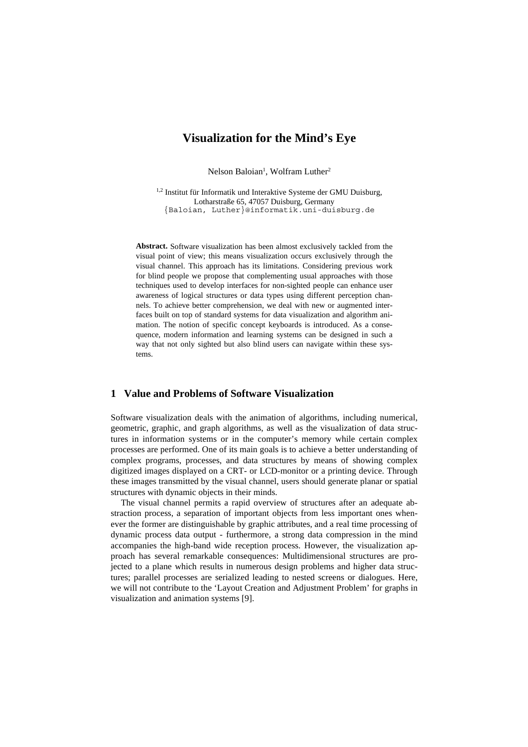# **Visualization for the Mind's Eye**

Nelson Baloian<sup>1</sup>, Wolfram Luther<sup>2</sup>

<sup>1,2</sup> Institut für Informatik und Interaktive Systeme der GMU Duisburg, Lotharstraße 65, 47057 Duisburg, Germany {Baloian, Luther}@informatik.uni-duisburg.de

**Abstract.** Software visualization has been almost exclusively tackled from the visual point of view; this means visualization occurs exclusively through the visual channel. This approach has its limitations. Considering previous work for blind people we propose that complementing usual approaches with those techniques used to develop interfaces for non-sighted people can enhance user awareness of logical structures or data types using different perception channels. To achieve better comprehension, we deal with new or augmented interfaces built on top of standard systems for data visualization and algorithm animation. The notion of specific concept keyboards is introduced. As a consequence, modern information and learning systems can be designed in such a way that not only sighted but also blind users can navigate within these systems.

## **1 Value and Problems of Software Visualization**

Software visualization deals with the animation of algorithms, including numerical, geometric, graphic, and graph algorithms, as well as the visualization of data structures in information systems or in the computer's memory while certain complex processes are performed. One of its main goals is to achieve a better understanding of complex programs, processes, and data structures by means of showing complex digitized images displayed on a CRT- or LCD-monitor or a printing device. Through these images transmitted by the visual channel, users should generate planar or spatial structures with dynamic objects in their minds.

The visual channel permits a rapid overview of structures after an adequate abstraction process, a separation of important objects from less important ones whenever the former are distinguishable by graphic attributes, and a real time processing of dynamic process data output - furthermore, a strong data compression in the mind accompanies the high-band wide reception process. However, the visualization approach has several remarkable consequences: Multidimensional structures are projected to a plane which results in numerous design problems and higher data structures; parallel processes are serialized leading to nested screens or dialogues. Here, we will not contribute to the 'Layout Creation and Adjustment Problem' for graphs in visualization and animation systems [9].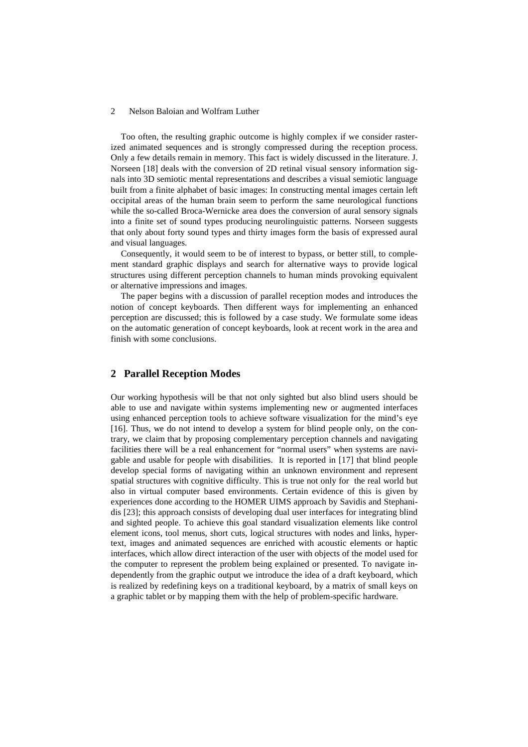Too often, the resulting graphic outcome is highly complex if we consider rasterized animated sequences and is strongly compressed during the reception process. Only a few details remain in memory. This fact is widely discussed in the literature. J. Norseen [18] deals with the conversion of 2D retinal visual sensory information signals into 3D semiotic mental representations and describes a visual semiotic language built from a finite alphabet of basic images: In constructing mental images certain left occipital areas of the human brain seem to perform the same neurological functions while the so-called Broca-Wernicke area does the conversion of aural sensory signals into a finite set of sound types producing neurolinguistic patterns. Norseen suggests that only about forty sound types and thirty images form the basis of expressed aural and visual languages.

Consequently, it would seem to be of interest to bypass, or better still, to complement standard graphic displays and search for alternative ways to provide logical structures using different perception channels to human minds provoking equivalent or alternative impressions and images.

The paper begins with a discussion of parallel reception modes and introduces the notion of concept keyboards. Then different ways for implementing an enhanced perception are discussed; this is followed by a case study. We formulate some ideas on the automatic generation of concept keyboards, look at recent work in the area and finish with some conclusions.

# **2 Parallel Reception Modes**

Our working hypothesis will be that not only sighted but also blind users should be able to use and navigate within systems implementing new or augmented interfaces using enhanced perception tools to achieve software visualization for the mind's eye [16]. Thus, we do not intend to develop a system for blind people only, on the contrary, we claim that by proposing complementary perception channels and navigating facilities there will be a real enhancement for "normal users" when systems are navigable and usable for people with disabilities. It is reported in [17] that blind people develop special forms of navigating within an unknown environment and represent spatial structures with cognitive difficulty. This is true not only for the real world but also in virtual computer based environments. Certain evidence of this is given by experiences done according to the HOMER UIMS approach by Savidis and Stephanidis [23]; this approach consists of developing dual user interfaces for integrating blind and sighted people. To achieve this goal standard visualization elements like control element icons, tool menus, short cuts, logical structures with nodes and links, hypertext, images and animated sequences are enriched with acoustic elements or haptic interfaces, which allow direct interaction of the user with objects of the model used for the computer to represent the problem being explained or presented. To navigate independently from the graphic output we introduce the idea of a draft keyboard, which is realized by redefining keys on a traditional keyboard, by a matrix of small keys on a graphic tablet or by mapping them with the help of problem-specific hardware.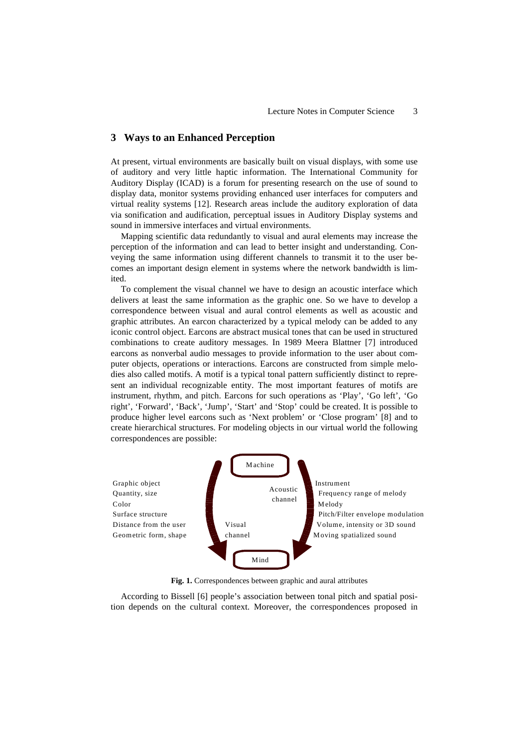## **3 Ways to an Enhanced Perception**

At present, virtual environments are basically built on visual displays, with some use of auditory and very little haptic information. The International Community for Auditory Display (ICAD) is a forum for presenting research on the use of sound to display data, monitor systems providing enhanced user interfaces for computers and virtual reality systems [12]. Research areas include the auditory exploration of data via sonification and audification, perceptual issues in Auditory Display systems and sound in immersive interfaces and virtual environments.

Mapping scientific data redundantly to visual and aural elements may increase the perception of the information and can lead to better insight and understanding. Conveying the same information using different channels to transmit it to the user becomes an important design element in systems where the network bandwidth is limited.

To complement the visual channel we have to design an acoustic interface which delivers at least the same information as the graphic one. So we have to develop a correspondence between visual and aural control elements as well as acoustic and graphic attributes. An earcon characterized by a typical melody can be added to any iconic control object. Earcons are abstract musical tones that can be used in structured combinations to create auditory messages. In 1989 Meera Blattner [7] introduced earcons as nonverbal audio messages to provide information to the user about computer objects, operations or interactions. Earcons are constructed from simple melodies also called motifs. A motif is a typical tonal pattern sufficiently distinct to represent an individual recognizable entity. The most important features of motifs are instrument, rhythm, and pitch. Earcons for such operations as 'Play', 'Go left', 'Go right', 'Forward', 'Back', 'Jump', 'Start' and 'Stop' could be created. It is possible to produce higher level earcons such as 'Next problem' or 'Close program' [8] and to create hierarchical structures. For modeling objects in our virtual world the following correspondences are possible:



**Fig. 1.** Correspondences between graphic and aural attributes

According to Bissell [6] people's association between tonal pitch and spatial position depends on the cultural context. Moreover, the correspondences proposed in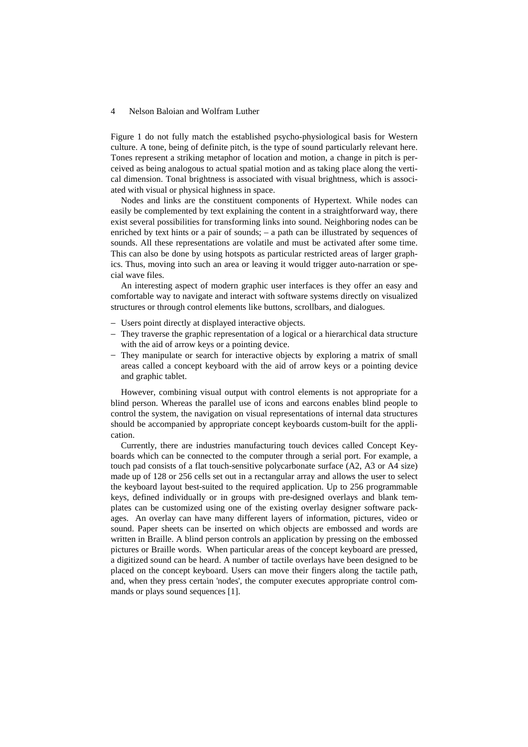Figure 1 do not fully match the established psycho-physiological basis for Western culture. A tone, being of definite pitch, is the type of sound particularly relevant here. Tones represent a striking metaphor of location and motion, a change in pitch is perceived as being analogous to actual spatial motion and as taking place along the vertical dimension. Tonal brightness is associated with visual brightness, which is associated with visual or physical highness in space.

Nodes and links are the constituent components of Hypertext. While nodes can easily be complemented by text explaining the content in a straightforward way, there exist several possibilities for transforming links into sound. Neighboring nodes can be enriched by text hints or a pair of sounds; – a path can be illustrated by sequences of sounds. All these representations are volatile and must be activated after some time. This can also be done by using hotspots as particular restricted areas of larger graphics. Thus, moving into such an area or leaving it would trigger auto-narration or special wave files.

An interesting aspect of modern graphic user interfaces is they offer an easy and comfortable way to navigate and interact with software systems directly on visualized structures or through control elements like buttons, scrollbars, and dialogues.

- − Users point directly at displayed interactive objects.
- − They traverse the graphic representation of a logical or a hierarchical data structure with the aid of arrow keys or a pointing device.
- − They manipulate or search for interactive objects by exploring a matrix of small areas called a concept keyboard with the aid of arrow keys or a pointing device and graphic tablet.

However, combining visual output with control elements is not appropriate for a blind person. Whereas the parallel use of icons and earcons enables blind people to control the system, the navigation on visual representations of internal data structures should be accompanied by appropriate concept keyboards custom-built for the application.

Currently, there are industries manufacturing touch devices called Concept Keyboards which can be connected to the computer through a serial port. For example, a touch pad consists of a flat touch-sensitive polycarbonate surface (A2, A3 or A4 size) made up of 128 or 256 cells set out in a rectangular array and allows the user to select the keyboard layout best-suited to the required application. Up to 256 programmable keys, defined individually or in groups with pre-designed overlays and blank templates can be customized using one of the existing overlay designer software packages. An overlay can have many different layers of information, pictures, video or sound. Paper sheets can be inserted on which objects are embossed and words are written in Braille. A blind person controls an application by pressing on the embossed pictures or Braille words. When particular areas of the concept keyboard are pressed, a digitized sound can be heard. A number of tactile overlays have been designed to be placed on the concept keyboard. Users can move their fingers along the tactile path, and, when they press certain 'nodes', the computer executes appropriate control commands or plays sound sequences [1].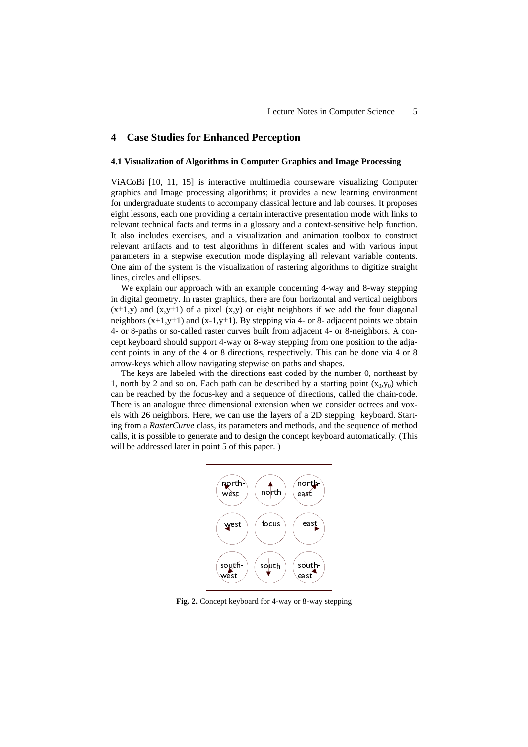### **4 Case Studies for Enhanced Perception**

#### **4.1 Visualization of Algorithms in Computer Graphics and Image Processing**

ViACoBi [10, 11, 15] is interactive multimedia courseware visualizing Computer graphics and Image processing algorithms; it provides a new learning environment for undergraduate students to accompany classical lecture and lab courses. It proposes eight lessons, each one providing a certain interactive presentation mode with links to relevant technical facts and terms in a glossary and a context-sensitive help function. It also includes exercises, and a visualization and animation toolbox to construct relevant artifacts and to test algorithms in different scales and with various input parameters in a stepwise execution mode displaying all relevant variable contents. One aim of the system is the visualization of rastering algorithms to digitize straight lines, circles and ellipses.

We explain our approach with an example concerning 4-way and 8-way stepping in digital geometry. In raster graphics, there are four horizontal and vertical neighbors  $(x\pm1,y)$  and  $(x,y\pm1)$  of a pixel  $(x,y)$  or eight neighbors if we add the four diagonal neighbors  $(x+1,y\pm 1)$  and  $(x-1,y\pm 1)$ . By stepping via 4- or 8- adjacent points we obtain 4- or 8-paths or so-called raster curves built from adjacent 4- or 8-neighbors. A concept keyboard should support 4-way or 8-way stepping from one position to the adjacent points in any of the 4 or 8 directions, respectively. This can be done via 4 or 8 arrow-keys which allow navigating stepwise on paths and shapes.

The keys are labeled with the directions east coded by the number 0, northeast by 1, north by 2 and so on. Each path can be described by a starting point  $(x_0, y_0)$  which can be reached by the focus-key and a sequence of directions, called the chain-code. There is an analogue three dimensional extension when we consider octrees and voxels with 26 neighbors. Here, we can use the layers of a 2D stepping keyboard. Starting from a *RasterCurve* class, its parameters and methods, and the sequence of method calls, it is possible to generate and to design the concept keyboard automatically. (This will be addressed later in point 5 of this paper. )



**Fig. 2.** Concept keyboard for 4-way or 8-way stepping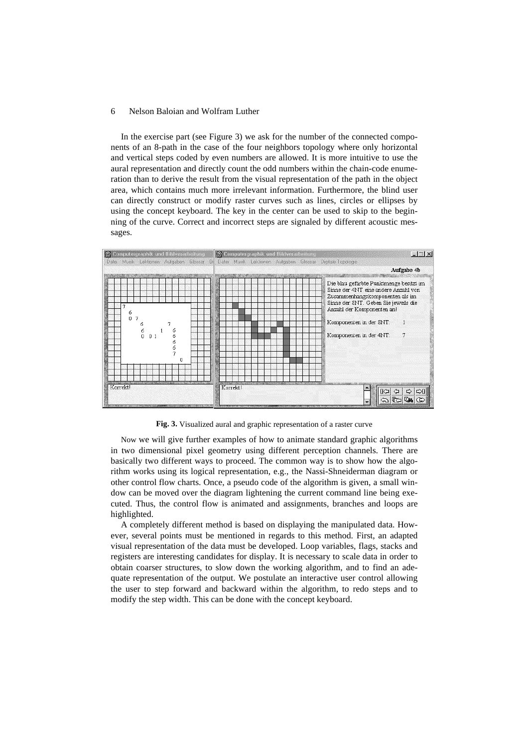In the exercise part (see Figure 3) we ask for the number of the connected components of an 8-path in the case of the four neighbors topology where only horizontal and vertical steps coded by even numbers are allowed. It is more intuitive to use the aural representation and directly count the odd numbers within the chain-code enumeration than to derive the result from the visual representation of the path in the object area, which contains much more irrelevant information. Furthermore, the blind user can directly construct or modify raster curves such as lines, circles or ellipses by using the concept keyboard. The key in the center can be used to skip to the beginning of the curve. Correct and incorrect steps are signaled by different acoustic messages.



**Fig. 3.** Visualized aural and graphic representation of a raster curve

Now we will give further examples of how to animate standard graphic algorithms in two dimensional pixel geometry using different perception channels. There are basically two different ways to proceed. The common way is to show how the algorithm works using its logical representation, e.g., the Nassi-Shneiderman diagram or other control flow charts. Once, a pseudo code of the algorithm is given, a small window can be moved over the diagram lightening the current command line being executed. Thus, the control flow is animated and assignments, branches and loops are highlighted.

A completely different method is based on displaying the manipulated data. However, several points must be mentioned in regards to this method. First, an adapted visual representation of the data must be developed. Loop variables, flags, stacks and registers are interesting candidates for display. It is necessary to scale data in order to obtain coarser structures, to slow down the working algorithm, and to find an adequate representation of the output. We postulate an interactive user control allowing the user to step forward and backward within the algorithm, to redo steps and to modify the step width. This can be done with the concept keyboard.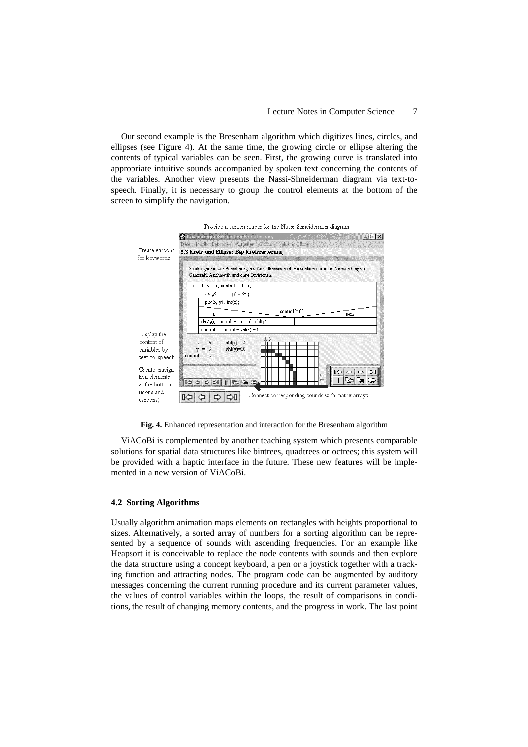Our second example is the Bresenham algorithm which digitizes lines, circles, and ellipses (see Figure 4). At the same time, the growing circle or ellipse altering the contents of typical variables can be seen. First, the growing curve is translated into appropriate intuitive sounds accompanied by spoken text concerning the contents of the variables. Another view presents the Nassi-Shneiderman diagram via text-tospeech. Finally, it is necessary to group the control elements at the bottom of the screen to simplify the navigation.





**Fig. 4.** Enhanced representation and interaction for the Bresenham algorithm

ViACoBi is complemented by another teaching system which presents comparable solutions for spatial data structures like bintrees, quadtrees or octrees; this system will be provided with a haptic interface in the future. These new features will be implemented in a new version of ViACoBi.

#### **4.2 Sorting Algorithms**

Usually algorithm animation maps elements on rectangles with heights proportional to sizes. Alternatively, a sorted array of numbers for a sorting algorithm can be represented by a sequence of sounds with ascending frequencies. For an example like Heapsort it is conceivable to replace the node contents with sounds and then explore the data structure using a concept keyboard, a pen or a joystick together with a tracking function and attracting nodes. The program code can be augmented by auditory messages concerning the current running procedure and its current parameter values, the values of control variables within the loops, the result of comparisons in conditions, the result of changing memory contents, and the progress in work. The last point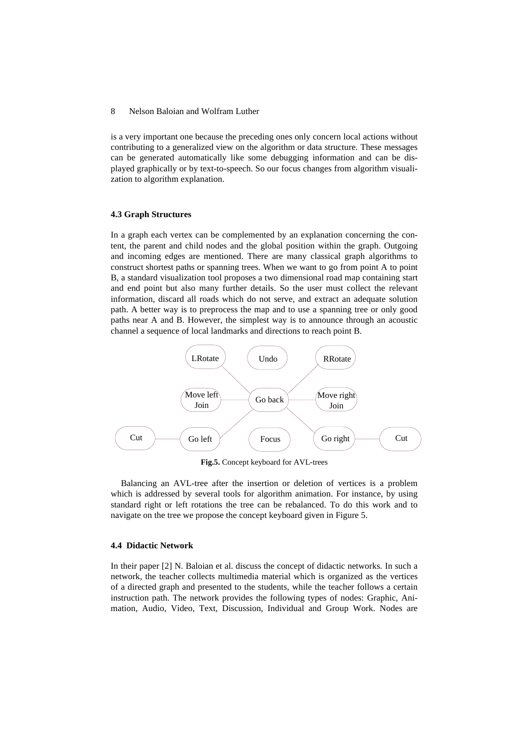is a very important one because the preceding ones only concern local actions without contributing to a generalized view on the algorithm or data structure. These messages can be generated automatically like some debugging information and can be displayed graphically or by text-to-speech. So our focus changes from algorithm visualization to algorithm explanation.

#### **4.3 Graph Structures**

In a graph each vertex can be complemented by an explanation concerning the content, the parent and child nodes and the global position within the graph. Outgoing and incoming edges are mentioned. There are many classical graph algorithms to construct shortest paths or spanning trees. When we want to go from point A to point B, a standard visualization tool proposes a two dimensional road map containing start and end point but also many further details. So the user must collect the relevant information, discard all roads which do not serve, and extract an adequate solution path. A better way is to preprocess the map and to use a spanning tree or only good paths near A and B. However, the simplest way is to announce through an acoustic channel a sequence of local landmarks and directions to reach point B.



**Fig.5.** Concept keyboard for AVL-trees

Balancing an AVL-tree after the insertion or deletion of vertices is a problem which is addressed by several tools for algorithm animation. For instance, by using standard right or left rotations the tree can be rebalanced. To do this work and to navigate on the tree we propose the concept keyboard given in Figure 5.

#### **4.4 Didactic Network**

In their paper [2] N. Baloian et al. discuss the concept of didactic networks. In such a network, the teacher collects multimedia material which is organized as the vertices of a directed graph and presented to the students, while the teacher follows a certain instruction path. The network provides the following types of nodes: Graphic, Animation, Audio, Video, Text, Discussion, Individual and Group Work. Nodes are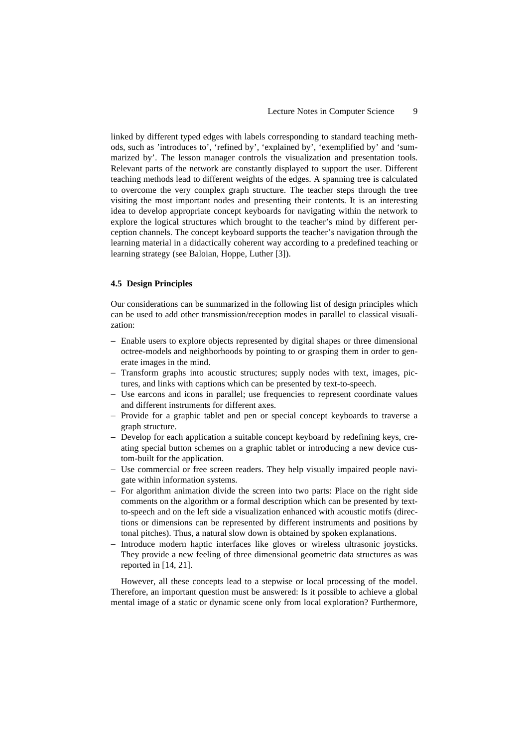linked by different typed edges with labels corresponding to standard teaching methods, such as 'introduces to', 'refined by', 'explained by', 'exemplified by' and 'summarized by'. The lesson manager controls the visualization and presentation tools. Relevant parts of the network are constantly displayed to support the user. Different teaching methods lead to different weights of the edges. A spanning tree is calculated to overcome the very complex graph structure. The teacher steps through the tree visiting the most important nodes and presenting their contents. It is an interesting idea to develop appropriate concept keyboards for navigating within the network to explore the logical structures which brought to the teacher's mind by different perception channels. The concept keyboard supports the teacher's navigation through the learning material in a didactically coherent way according to a predefined teaching or learning strategy (see Baloian, Hoppe, Luther [3]).

#### **4.5 Design Principles**

Our considerations can be summarized in the following list of design principles which can be used to add other transmission/reception modes in parallel to classical visualization:

- − Enable users to explore objects represented by digital shapes or three dimensional octree-models and neighborhoods by pointing to or grasping them in order to generate images in the mind.
- − Transform graphs into acoustic structures; supply nodes with text, images, pictures, and links with captions which can be presented by text-to-speech.
- − Use earcons and icons in parallel; use frequencies to represent coordinate values and different instruments for different axes.
- Provide for a graphic tablet and pen or special concept keyboards to traverse a graph structure.
- Develop for each application a suitable concept keyboard by redefining keys, creating special button schemes on a graphic tablet or introducing a new device custom-built for the application.
- − Use commercial or free screen readers. They help visually impaired people navigate within information systems.
- − For algorithm animation divide the screen into two parts: Place on the right side comments on the algorithm or a formal description which can be presented by textto-speech and on the left side a visualization enhanced with acoustic motifs (directions or dimensions can be represented by different instruments and positions by tonal pitches). Thus, a natural slow down is obtained by spoken explanations.
- − Introduce modern haptic interfaces like gloves or wireless ultrasonic joysticks. They provide a new feeling of three dimensional geometric data structures as was reported in [14, 21].

However, all these concepts lead to a stepwise or local processing of the model. Therefore, an important question must be answered: Is it possible to achieve a global mental image of a static or dynamic scene only from local exploration? Furthermore,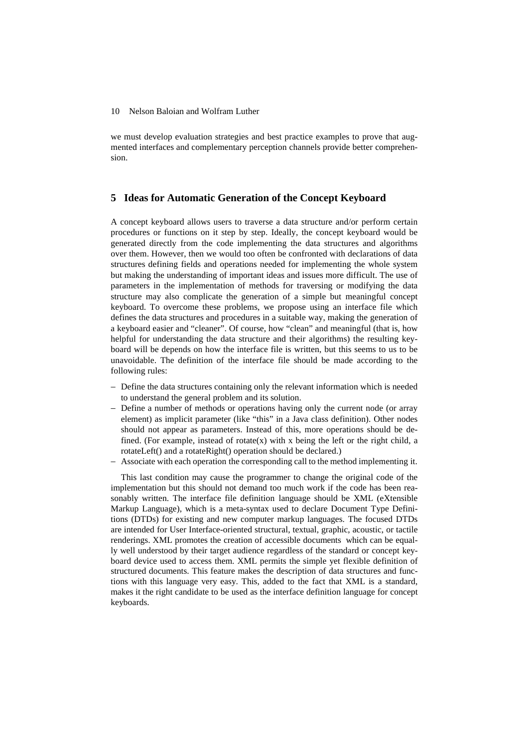we must develop evaluation strategies and best practice examples to prove that augmented interfaces and complementary perception channels provide better comprehension.

### **5 Ideas for Automatic Generation of the Concept Keyboard**

A concept keyboard allows users to traverse a data structure and/or perform certain procedures or functions on it step by step. Ideally, the concept keyboard would be generated directly from the code implementing the data structures and algorithms over them. However, then we would too often be confronted with declarations of data structures defining fields and operations needed for implementing the whole system but making the understanding of important ideas and issues more difficult. The use of parameters in the implementation of methods for traversing or modifying the data structure may also complicate the generation of a simple but meaningful concept keyboard. To overcome these problems, we propose using an interface file which defines the data structures and procedures in a suitable way, making the generation of a keyboard easier and "cleaner". Of course, how "clean" and meaningful (that is, how helpful for understanding the data structure and their algorithms) the resulting keyboard will be depends on how the interface file is written, but this seems to us to be unavoidable. The definition of the interface file should be made according to the following rules:

- − Define the data structures containing only the relevant information which is needed to understand the general problem and its solution.
- Define a number of methods or operations having only the current node (or array element) as implicit parameter (like "this" in a Java class definition). Other nodes should not appear as parameters. Instead of this, more operations should be defined. (For example, instead of rotate $(x)$  with x being the left or the right child, a rotateLeft() and a rotateRight() operation should be declared.)
- − Associate with each operation the corresponding call to the method implementing it.

This last condition may cause the programmer to change the original code of the implementation but this should not demand too much work if the code has been reasonably written. The interface file definition language should be XML (eXtensible Markup Language), which is a meta-syntax used to declare Document Type Definitions (DTDs) for existing and new computer markup languages. The focused DTDs are intended for User Interface-oriented structural, textual, graphic, acoustic, or tactile renderings. XML promotes the creation of accessible documents which can be equally well understood by their target audience regardless of the standard or concept keyboard device used to access them. XML permits the simple yet flexible definition of structured documents. This feature makes the description of data structures and functions with this language very easy. This, added to the fact that XML is a standard, makes it the right candidate to be used as the interface definition language for concept keyboards.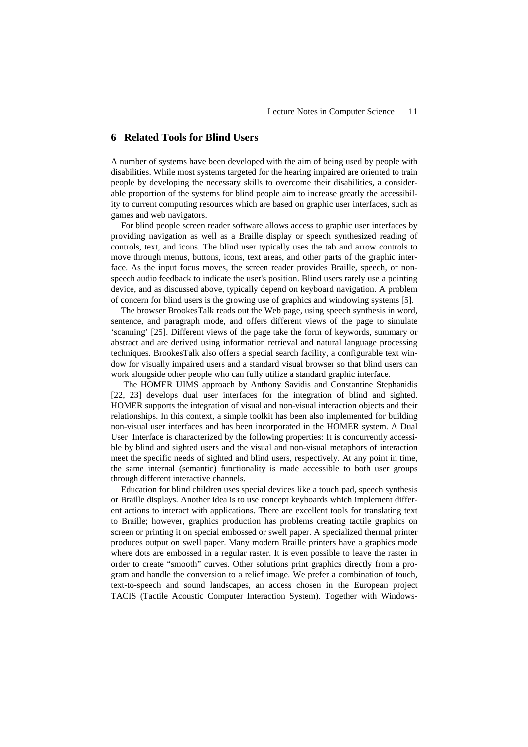## **6 Related Tools for Blind Users**

A number of systems have been developed with the aim of being used by people with disabilities. While most systems targeted for the hearing impaired are oriented to train people by developing the necessary skills to overcome their disabilities, a considerable proportion of the systems for blind people aim to increase greatly the accessibility to current computing resources which are based on graphic user interfaces, such as games and web navigators.

For blind people screen reader software allows access to graphic user interfaces by providing navigation as well as a Braille display or speech synthesized reading of controls, text, and icons. The blind user typically uses the tab and arrow controls to move through menus, buttons, icons, text areas, and other parts of the graphic interface. As the input focus moves, the screen reader provides Braille, speech, or nonspeech audio feedback to indicate the user's position. Blind users rarely use a pointing device, and as discussed above, typically depend on keyboard navigation. A problem of concern for blind users is the growing use of graphics and windowing systems [5].

The browser BrookesTalk reads out the Web page, using speech synthesis in word, sentence, and paragraph mode, and offers different views of the page to simulate 'scanning' [25]. Different views of the page take the form of keywords, summary or abstract and are derived using information retrieval and natural language processing techniques. BrookesTalk also offers a special search facility, a configurable text window for visually impaired users and a standard visual browser so that blind users can work alongside other people who can fully utilize a standard graphic interface.

The HOMER UIMS approach by Anthony Savidis and Constantine Stephanidis [22, 23] develops dual user interfaces for the integration of blind and sighted. HOMER supports the integration of visual and non-visual interaction objects and their relationships. In this context, a simple toolkit has been also implemented for building non-visual user interfaces and has been incorporated in the HOMER system. A Dual User Interface is characterized by the following properties: It is concurrently accessible by blind and sighted users and the visual and non-visual metaphors of interaction meet the specific needs of sighted and blind users, respectively. At any point in time, the same internal (semantic) functionality is made accessible to both user groups through different interactive channels.

Education for blind children uses special devices like a touch pad, speech synthesis or Braille displays. Another idea is to use concept keyboards which implement different actions to interact with applications. There are excellent tools for translating text to Braille; however, graphics production has problems creating tactile graphics on screen or printing it on special embossed or swell paper. A specialized thermal printer produces output on swell paper. Many modern Braille printers have a graphics mode where dots are embossed in a regular raster. It is even possible to leave the raster in order to create "smooth" curves. Other solutions print graphics directly from a program and handle the conversion to a relief image. We prefer a combination of touch, text-to-speech and sound landscapes, an access chosen in the European project TACIS (Tactile Acoustic Computer Interaction System). Together with Windows-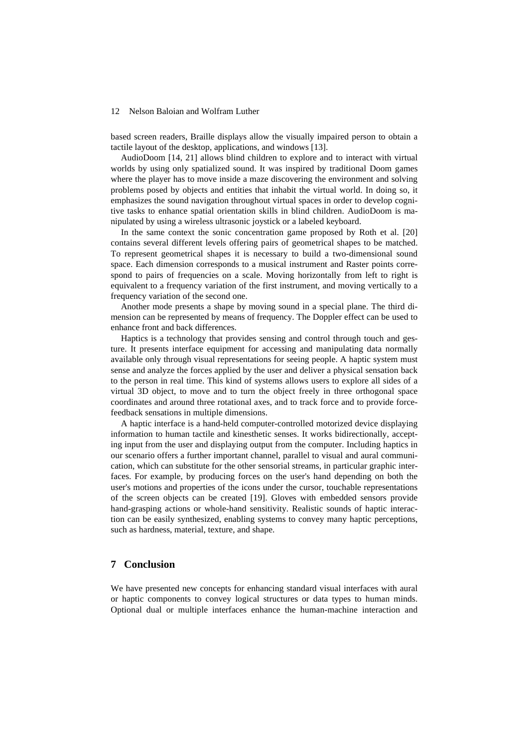based screen readers, Braille displays allow the visually impaired person to obtain a tactile layout of the desktop, applications, and windows [13].

AudioDoom [14, 21] allows blind children to explore and to interact with virtual worlds by using only spatialized sound. It was inspired by traditional Doom games where the player has to move inside a maze discovering the environment and solving problems posed by objects and entities that inhabit the virtual world. In doing so, it emphasizes the sound navigation throughout virtual spaces in order to develop cognitive tasks to enhance spatial orientation skills in blind children. AudioDoom is manipulated by using a wireless ultrasonic joystick or a labeled keyboard.

In the same context the sonic concentration game proposed by Roth et al. [20] contains several different levels offering pairs of geometrical shapes to be matched. To represent geometrical shapes it is necessary to build a two-dimensional sound space. Each dimension corresponds to a musical instrument and Raster points correspond to pairs of frequencies on a scale. Moving horizontally from left to right is equivalent to a frequency variation of the first instrument, and moving vertically to a frequency variation of the second one.

Another mode presents a shape by moving sound in a special plane. The third dimension can be represented by means of frequency. The Doppler effect can be used to enhance front and back differences.

Haptics is a technology that provides sensing and control through touch and gesture. It presents interface equipment for accessing and manipulating data normally available only through visual representations for seeing people. A haptic system must sense and analyze the forces applied by the user and deliver a physical sensation back to the person in real time. This kind of systems allows users to explore all sides of a virtual 3D object, to move and to turn the object freely in three orthogonal space coordinates and around three rotational axes, and to track force and to provide forcefeedback sensations in multiple dimensions.

A haptic interface is a hand-held computer-controlled motorized device displaying information to human tactile and kinesthetic senses. It works bidirectionally, accepting input from the user and displaying output from the computer. Including haptics in our scenario offers a further important channel, parallel to visual and aural communication, which can substitute for the other sensorial streams, in particular graphic interfaces. For example, by producing forces on the user's hand depending on both the user's motions and properties of the icons under the cursor, touchable representations of the screen objects can be created [19]. Gloves with embedded sensors provide hand-grasping actions or whole-hand sensitivity. Realistic sounds of haptic interaction can be easily synthesized, enabling systems to convey many haptic perceptions, such as hardness, material, texture, and shape.

## **7 Conclusion**

We have presented new concepts for enhancing standard visual interfaces with aural or haptic components to convey logical structures or data types to human minds. Optional dual or multiple interfaces enhance the human-machine interaction and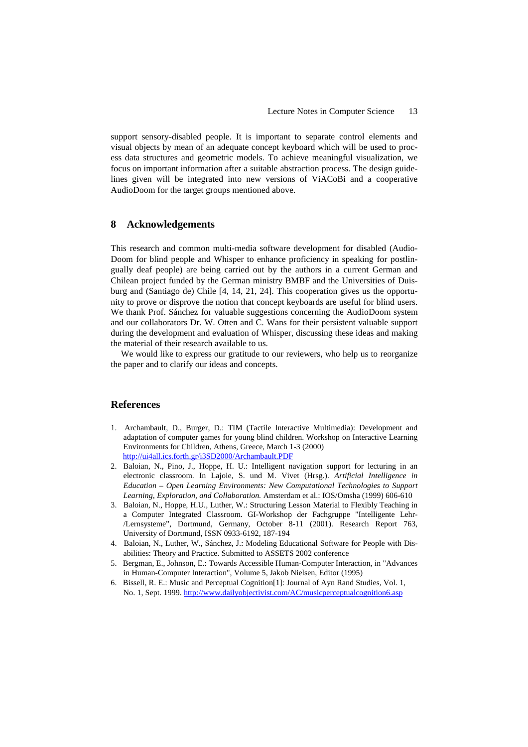support sensory-disabled people. It is important to separate control elements and visual objects by mean of an adequate concept keyboard which will be used to process data structures and geometric models. To achieve meaningful visualization, we focus on important information after a suitable abstraction process. The design guidelines given will be integrated into new versions of ViACoBi and a cooperative AudioDoom for the target groups mentioned above.

## **8 Acknowledgements**

This research and common multi-media software development for disabled (Audio-Doom for blind people and Whisper to enhance proficiency in speaking for postlingually deaf people) are being carried out by the authors in a current German and Chilean project funded by the German ministry BMBF and the Universities of Duisburg and (Santiago de) Chile [4, 14, 21, 24]. This cooperation gives us the opportunity to prove or disprove the notion that concept keyboards are useful for blind users. We thank Prof. Sánchez for valuable suggestions concerning the AudioDoom system and our collaborators Dr. W. Otten and C. Wans for their persistent valuable support during the development and evaluation of Whisper, discussing these ideas and making the material of their research available to us.

We would like to express our gratitude to our reviewers, who help us to reorganize the paper and to clarify our ideas and concepts.

# **References**

- 1. Archambault, D., Burger, D.: TIM (Tactile Interactive Multimedia): Development and adaptation of computer games for young blind children. Workshop on Interactive Learning Environments for Children, Athens, Greece, March 1-3 (2000) http://ui4all.ics.forth.gr/i3SD2000/Archambault.PDF
- 2. Baloian, N., Pino, J., Hoppe, H. U.: Intelligent navigation support for lecturing in an electronic classroom. In Lajoie, S. und M. Vivet (Hrsg.). *Artificial Intelligence in Education – Open Learning Environments: New Computational Technologies to Support Learning, Exploration, and Collaboration.* Amsterdam et al.: IOS/Omsha (1999) 606-610
- 3. Baloian, N., Hoppe, H.U., Luther, W.: Structuring Lesson Material to Flexibly Teaching in a Computer Integrated Classroom. GI-Workshop der Fachgruppe "Intelligente Lehr- /Lernsysteme", Dortmund, Germany, October 8-11 (2001). Research Report 763, University of Dortmund, ISSN 0933-6192, 187-194
- 4. Baloian, N., Luther, W., Sánchez, J.: Modeling Educational Software for People with Disabilities: Theory and Practice. Submitted to ASSETS 2002 conference
- 5. Bergman, E., Johnson, E.: Towards Accessible Human-Computer Interaction, in "Advances in Human-Computer Interaction", Volume 5, Jakob Nielsen, Editor (1995)
- 6. Bissell, R. E.: Music and Perceptual Cognition[1]: Journal of Ayn Rand Studies, Vol. 1, No. 1, Sept. 1999. http://www.dailyobjectivist.com/AC/musicperceptualcognition6.asp